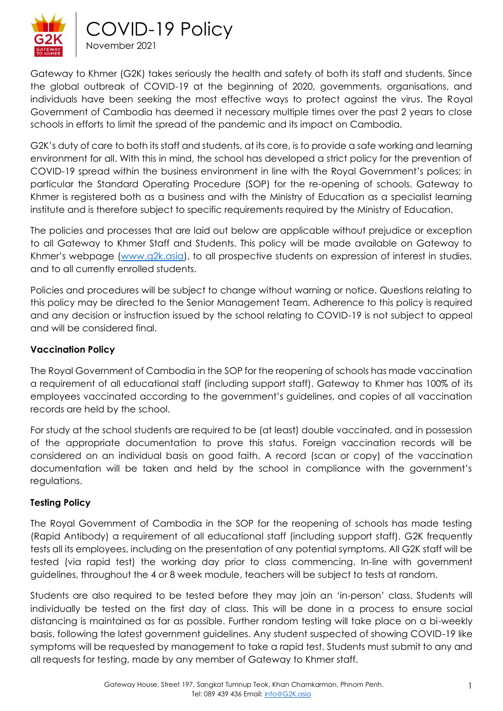

Gateway to Khmer (G2K) takes seriously the health and safety of both its staff and students. Since the global outbreak of COVID-19 at the beginning of 2020, governments, organisations, and individuals have been seeking the most effective ways to protect against the virus. The Royal Government of Cambodia has deemed it necessary multiple times over the past 2 years to close schools in efforts to limit the spread of the pandemic and its impact on Cambodia.

G2K's duty of care to both its staff and students, at its core, is to provide a safe working and learning environment for all. With this in mind, the school has developed a strict policy for the prevention of COVID-19 spread within the business environment in line with the Royal Government's polices; in particular the Standard Operating Procedure (SOP) for the re-opening of schools. Gateway to Khmer is registered both as a business and with the Ministry of Education as a specialist learning institute and is therefore subject to specific requirements required by the Ministry of Education.

The policies and processes that are laid out below are applicable without prejudice or exception to all Gateway to Khmer Staff and Students. This policy will be made available on Gateway to Khmer's webpage ([www.g2k.asia\)](http://www.g2k.asia/), to all prospective students on expression of interest in studies, and to all currently enrolled students.

Policies and procedures will be subject to change without warning or notice. Questions relating to this policy may be directed to the Senior Management Team. Adherence to this policy is required and any decision or instruction issued by the school relating to COVID-19 is not subject to appeal and will be considered final.

# **Vaccination Policy**

The Royal Government of Cambodia in the SOP for the reopening of schools has made vaccination a requirement of all educational staff (including support staff). Gateway to Khmer has 100% of its employees vaccinated according to the government's guidelines, and copies of all vaccination records are held by the school.

For study at the school students are required to be (at least) double vaccinated, and in possession of the appropriate documentation to prove this status. Foreign vaccination records will be considered on an individual basis on good faith. A record (scan or copy) of the vaccination documentation will be taken and held by the school in compliance with the government's regulations.

### **Testing Policy**

The Royal Government of Cambodia in the SOP for the reopening of schools has made testing (Rapid Antibody) a requirement of all educational staff (including support staff). G2K frequently tests all its employees, including on the presentation of any potential symptoms. All G2K staff will be tested (via rapid test) the working day prior to class commencing. In-line with government guidelines, throughout the 4 or 8 week module, teachers will be subject to tests at random.

Students are also required to be tested before they may join an 'in-person' class. Students will individually be tested on the first day of class. This will be done in a process to ensure social distancing is maintained as far as possible. Further random testing will take place on a bi-weekly basis, following the latest government guidelines. Any student suspected of showing COVID-19 like symptoms will be requested by management to take a rapid test. Students must submit to any and all requests for testing, made by any member of Gateway to Khmer staff.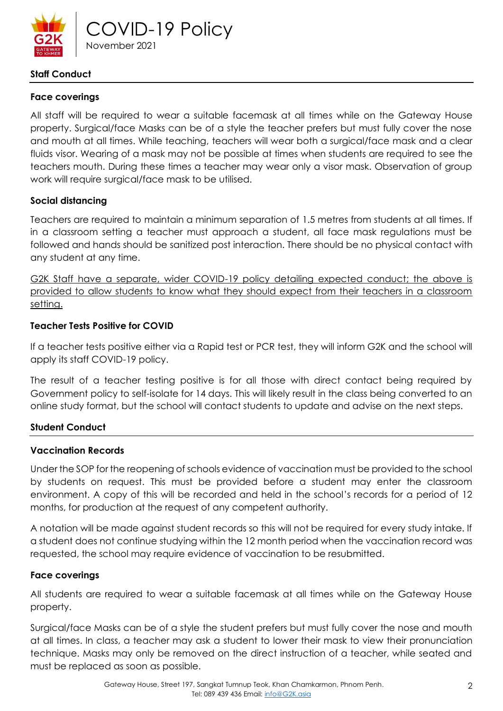

# **Staff Conduct**

# **Face coverings**

All staff will be required to wear a suitable facemask at all times while on the Gateway House property. Surgical/face Masks can be of a style the teacher prefers but must fully cover the nose and mouth at all times. While teaching, teachers will wear both a surgical/face mask and a clear fluids visor. Wearing of a mask may not be possible at times when students are required to see the teachers mouth. During these times a teacher may wear only a visor mask. Observation of group work will require surgical/face mask to be utilised.

## **Social distancing**

Teachers are required to maintain a minimum separation of 1.5 metres from students at all times. If in a classroom setting a teacher must approach a student, all face mask regulations must be followed and hands should be sanitized post interaction. There should be no physical contact with any student at any time.

G2K Staff have a separate, wider COVID-19 policy detailing expected conduct; the above is provided to allow students to know what they should expect from their teachers in a classroom setting.

## **Teacher Tests Positive for COVID**

If a teacher tests positive either via a Rapid test or PCR test, they will inform G2K and the school will apply its staff COVID-19 policy.

The result of a teacher testing positive is for all those with direct contact being required by Government policy to self-isolate for 14 days. This will likely result in the class being converted to an online study format, but the school will contact students to update and advise on the next steps.

### **Student Conduct**

### **Vaccination Records**

Under the SOP for the reopening of schools evidence of vaccination must be provided to the school by students on request. This must be provided before a student may enter the classroom environment. A copy of this will be recorded and held in the school's records for a period of 12 months, for production at the request of any competent authority.

A notation will be made against student records so this will not be required for every study intake. If a student does not continue studying within the 12 month period when the vaccination record was requested, the school may require evidence of vaccination to be resubmitted.

### **Face coverings**

All students are required to wear a suitable facemask at all times while on the Gateway House property.

Surgical/face Masks can be of a style the student prefers but must fully cover the nose and mouth at all times. In class, a teacher may ask a student to lower their mask to view their pronunciation technique. Masks may only be removed on the direct instruction of a teacher, while seated and must be replaced as soon as possible.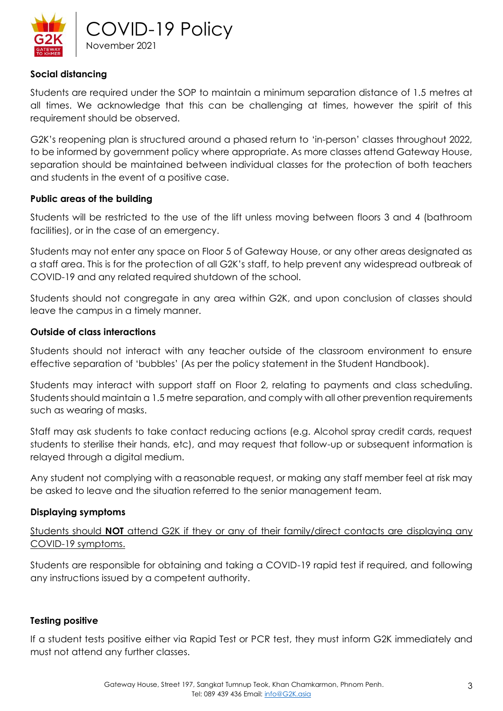

### **Social distancing**

Students are required under the SOP to maintain a minimum separation distance of 1.5 metres at all times. We acknowledge that this can be challenging at times, however the spirit of this requirement should be observed.

G2K's reopening plan is structured around a phased return to 'in-person' classes throughout 2022, to be informed by government policy where appropriate. As more classes attend Gateway House, separation should be maintained between individual classes for the protection of both teachers and students in the event of a positive case.

### **Public areas of the building**

Students will be restricted to the use of the lift unless moving between floors 3 and 4 (bathroom facilities), or in the case of an emergency.

Students may not enter any space on Floor 5 of Gateway House, or any other areas designated as a staff area. This is for the protection of all G2K's staff, to help prevent any widespread outbreak of COVID-19 and any related required shutdown of the school.

Students should not congregate in any area within G2K, and upon conclusion of classes should leave the campus in a timely manner.

### **Outside of class interactions**

Students should not interact with any teacher outside of the classroom environment to ensure effective separation of 'bubbles' (As per the policy statement in the Student Handbook).

Students may interact with support staff on Floor 2, relating to payments and class scheduling. Students should maintain a 1.5 metre separation, and comply with all other prevention requirements such as wearing of masks.

Staff may ask students to take contact reducing actions (e.g. Alcohol spray credit cards, request students to sterilise their hands, etc), and may request that follow-up or subsequent information is relayed through a digital medium.

Any student not complying with a reasonable request, or making any staff member feel at risk may be asked to leave and the situation referred to the senior management team.

### **Displaying symptoms**

Students should **NOT** attend G2K if they or any of their family/direct contacts are displaying any COVID-19 symptoms.

Students are responsible for obtaining and taking a COVID-19 rapid test if required, and following any instructions issued by a competent authority.

### **Testing positive**

If a student tests positive either via Rapid Test or PCR test, they must inform G2K immediately and must not attend any further classes.